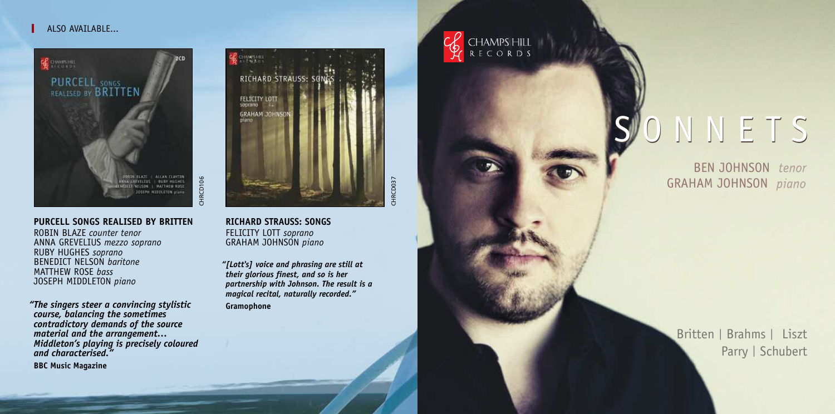# ALSO AVATIARLE



# **PURCELL SONGS REALISED BY BRITTEN**

ROBIN BLAZE *counter tenor* ANNA GREVELIUS *mezzo soprano* RUBY HUGHES *soprano* BENEDICT NELSON *baritone* MATTHEW ROSE *bass* JOSEPH MIDDLETON *piano*

*"The singers steer a convincing stylistic course, balancing the sometimes contradictory demands of the source material and the arrangement… Middleton's playing is precisely coloured and characterised."*

**BBC Music Magazine**



**RICHARD STRAUSS: SONGS** FELICITY LOTT *soprano* GRAHAM JOHNSON *piano*

*"[Lott's] voice and phrasing are still at their glorious finest, and so is her partnership with Johnson. The result is a magical recital, naturally recorded."* **Gramophone**

CHAMPSHILL<br>RECORDS

# O N N E T S

BEN JOHNSON tenor GRAHAM JOHNSON piano

Britten | Brahms | Liszt Parry | Schubert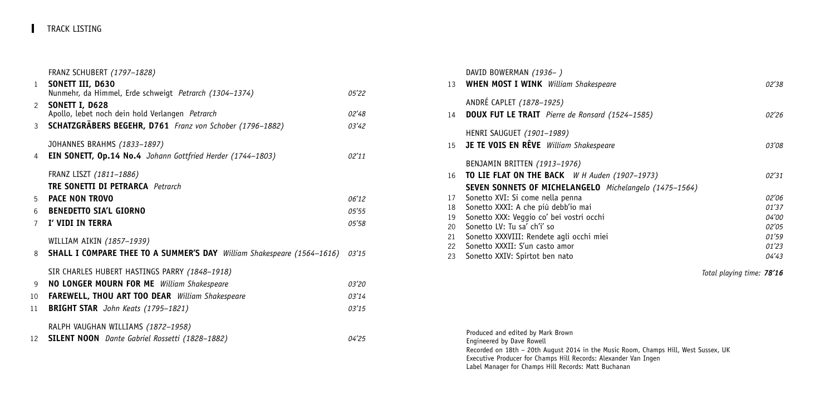FRANZ SCHUBERT *(1797–1828)*

| $\mathbf{1}$     | SONETT III, D630<br>Nunmehr, da Himmel, Erde schweigt Petrarch (1304-1374)    | 05'22 |
|------------------|-------------------------------------------------------------------------------|-------|
| $\mathcal{P}$    | SONETT I, D628<br>Apollo, lebet noch dein hold Verlangen Petrarch             | 02'48 |
| 3                | SCHATZGRÄBERS BEGEHR, D761 Franz von Schober (1796-1882)                      | 03'42 |
|                  | JOHANNES BRAHMS (1833-1897)                                                   |       |
| 4                | <b>EIN SONETT, Op.14 No.4</b> Johann Gottfried Herder (1744-1803)             | 02'11 |
|                  | FRANZ LISZT (1811-1886)                                                       |       |
|                  | <b>TRE SONETTI DI PETRARCA</b> Petrarch                                       |       |
| 5                | <b>PACE NON TROVO</b>                                                         | 06'12 |
| $6 \overline{6}$ | <b>BENEDETTO SIA'L GIORNO</b>                                                 | 05'55 |
| $\overline{7}$   | I' VIDI IN TERRA                                                              | 05'58 |
|                  | WILLIAM AIKIN (1857-1939)                                                     |       |
|                  |                                                                               |       |
| 8                | <b>SHALL I COMPARE THEE TO A SUMMER'S DAY</b> William Shakespeare (1564-1616) | 03'15 |
|                  | SIR CHARLES HUBERT HASTINGS PARRY (1848-1918)                                 |       |
| 9                | <b>NO LONGER MOURN FOR ME</b> William Shakespeare                             | 03'20 |
| 10               | <b>FAREWELL, THOU ART TOO DEAR</b> William Shakespeare                        | 03'14 |
| 11               | BRIGHT STAR John Keats (1795-1821)                                            | 03'15 |
|                  |                                                                               |       |
|                  | RALPH VAUGHAN WILLIAMS (1872-1958)                                            |       |
| 12 <sup>2</sup>  | SILENT NOON Dante Gabriel Rossetti (1828-1882)                                | 04'25 |

|    | DAVID BOWERMAN (1936-)<br>13 WHEN MOST I WINK William Shakespeare                     | 02'38 |
|----|---------------------------------------------------------------------------------------|-------|
|    | ANDRÉ CAPLET (1878-1925)<br>14 <b>DOUX FUT LE TRAIT</b> Pierre de Ronsard (1524-1585) | 02'26 |
|    | HENRI SAUGUET (1901-1989)<br>15 JE TE VOIS EN RÊVE William Shakespeare                | 03'08 |
|    | BENJAMIN BRITTEN (1913-1976)                                                          |       |
|    | 16 <b>TO LIE FLAT ON THE BACK</b> W H Auden (1907-1973)                               | 02'31 |
|    | SEVEN SONNETS OF MICHELANGELO Michelangelo (1475-1564)                                |       |
| 17 | Sonetto XVI: Si come nella penna                                                      | 02'06 |
| 18 | Sonetto XXXI: A che più debb'io mai                                                   | 01'37 |
| 19 | Sonetto XXX: Veggio co' bei vostri occhi                                              | 04'00 |
| 20 | Sonetto LV: Tu sa' ch'i' so                                                           | 02'05 |
| 21 | Sonetto XXXVIII: Rendete agli occhi miei                                              | 01'59 |
| 22 | Sonetto XXXII: S'un casto amor                                                        | 01'23 |
| 23 | Sonetto XXIV: Spirtot ben nato                                                        | 04'43 |
|    |                                                                                       |       |

*Total playing time: 78'16*

Produced and edited by Mark Brown Engineered by Dave Rowell Recorded on 18th – 20th August 2014 in the Music Room, Champs Hill, West Sussex, UK Executive Producer for Champs Hill Records: Alexander Van Ingen Label Manager for Champs Hill Records: Matt Buchanan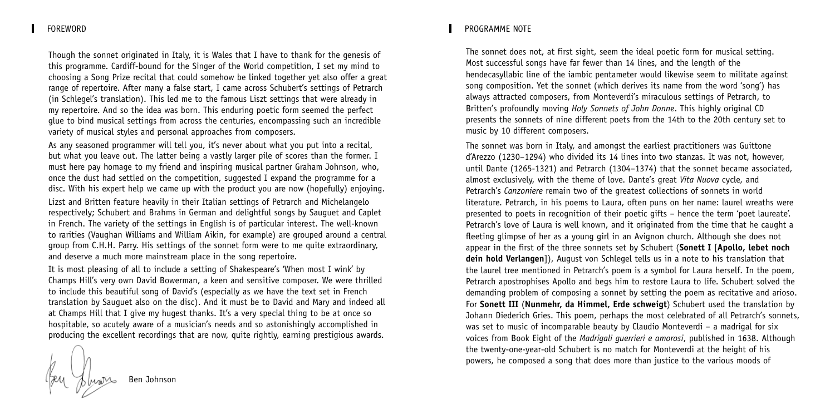Though the sonnet originated in Italy, it is Wales that I have to thank for the genesis of this programme. Cardiff-bound for the Singer of the World competition, I set my mind to choosing a Song Prize recital that could somehow be linked together yet also offer a great range of repertoire. After many a false start, I came across Schubert's settings of Petrarch (in Schlegel's translation). This led me to the famous Liszt settings that were already in my repertoire. And so the idea was born. This enduring poetic form seemed the perfect glue to bind musical settings from across the centuries, encompassing such an incredible variety of musical styles and personal approaches from composers.

As any seasoned programmer will tell you, it's never about what you put into a recital, but what you leave out. The latter being a vastly larger pile of scores than the former. I must here pay homage to my friend and inspiring musical partner Graham Johnson, who, once the dust had settled on the competition, suggested I expand the programme for a disc. With his expert help we came up with the product you are now (hopefully) enjoying.

Lizst and Britten feature heavily in their Italian settings of Petrarch and Michelangelo respectively; Schubert and Brahms in German and delightful songs by Sauguet and Caplet in French. The variety of the settings in English is of particular interest. The well-known to rarities (Vaughan Williams and William Aikin, for example) are grouped around a central group from C.H.H. Parry. His settings of the sonnet form were to me quite extraordinary, and deserve a much more mainstream place in the song repertoire.

It is most pleasing of all to include a setting of Shakespeare's 'When most I wink' by Champs Hill's very own David Bowerman, a keen and sensitive composer. We were thrilled to include this beautiful song of David's (especially as we have the text set in French translation by Sauguet also on the disc). And it must be to David and Mary and indeed all at Champs Hill that I give my hugest thanks. It's a very special thing to be at once so hospitable, so acutely aware of a musician's needs and so astonishingly accomplished in producing the excellent recordings that are now, quite rightly, earning prestigious awards.

# FOREWORD PROGRAMME NOTE

The sonnet does not, at first sight, seem the ideal poetic form for musical setting. Most successful songs have far fewer than 14 lines, and the length of the hendecasyllabic line of the iambic pentameter would likewise seem to militate against song composition. Yet the sonnet (which derives its name from the word 'song') has always attracted composers, from Monteverdi's miraculous settings of Petrarch, to Britten's profoundly moving *Holy Sonnets of John Donne*. This highly original CD presents the sonnets of nine different poets from the 14th to the 20th century set to music by 10 different composers.

The sonnet was born in Italy, and amongst the earliest practitioners was Guittone d'Arezzo (1230–1294) who divided its 14 lines into two stanzas. It was not, however, until Dante (1265-1321) and Petrarch (1304–1374) that the sonnet became associated, almost exclusively, with the theme of love. Dante's great *Vita Nuova* cycle, and Petrarch's *Canzoniere* remain two of the greatest collections of sonnets in world literature. Petrarch, in his poems to Laura, often puns on her name: laurel wreaths were presented to poets in recognition of their poetic gifts – hence the term 'poet laureate'. Petrarch's love of Laura is well known, and it originated from the time that he caught a fleeting glimpse of her as a young girl in an Avignon church. Although she does not appear in the first of the three sonnets set by Schubert (**Sonett I** [**Apollo, lebet noch dein hold Verlangen**]), August von Schlegel tells us in a note to his translation that the laurel tree mentioned in Petrarch's poem is a symbol for Laura herself. In the poem, Petrarch apostrophises Apollo and begs him to restore Laura to life. Schubert solved the demanding problem of composing a sonnet by setting the poem as recitative and arioso. For **Sonett III** (**Nunmehr, da Himmel, Erde schweigt**) Schubert used the translation by Johann Diederich Gries. This poem, perhaps the most celebrated of all Petrarch's sonnets, was set to music of incomparable beauty by Claudio Monteverdi – a madrigal for six voices from Book Eight of the *Madrigali guerrieri e amorosi*, published in 1638. Although the twenty-one-year-old Schubert is no match for Monteverdi at the height of his powers, he composed a song that does more than justice to the various moods of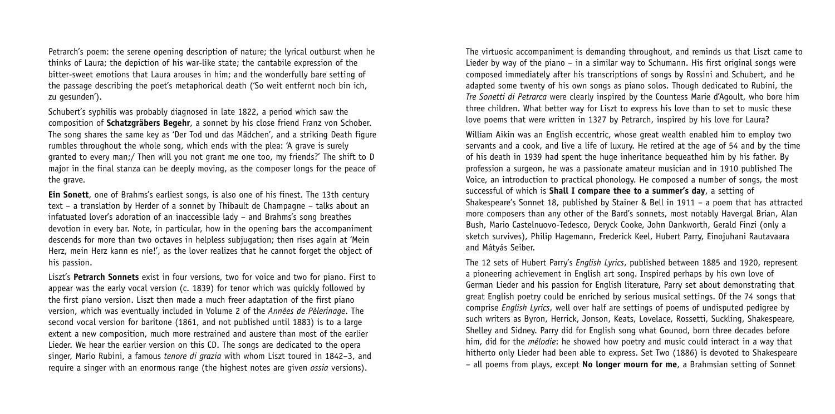Petrarch's poem: the serene opening description of nature; the lyrical outburst when he thinks of Laura; the depiction of his war-like state; the cantabile expression of the bitter-sweet emotions that Laura arouses in him; and the wonderfully bare setting of the passage describing the poet's metaphorical death ('So weit entfernt noch bin ich, zu gesunden').

Schubert's syphilis was probably diagnosed in late 1822, a period which saw the composition of **Schatzgräbers Begehr**, a sonnet by his close friend Franz von Schober. The song shares the same key as 'Der Tod und das Mädchen', and a striking Death figure rumbles throughout the whole song, which ends with the plea: 'A grave is surely granted to every man;/ Then will you not grant me one too, my friends?' The shift to D major in the final stanza can be deeply moving, as the composer longs for the peace of the grave.

**Ein Sonett**, one of Brahms's earliest songs, is also one of his finest. The 13th century text – a translation by Herder of a sonnet by Thibault de Champagne – talks about an infatuated lover's adoration of an inaccessible lady – and Brahms's song breathes devotion in every bar. Note, in particular, how in the opening bars the accompaniment descends for more than two octaves in helpless subjugation; then rises again at 'Mein Herz, mein Herz kann es nie!', as the lover realizes that he cannot forget the object of his passion.

Liszt's **Petrarch Sonnets** exist in four versions, two for voice and two for piano. First to appear was the early vocal version (c. 1839) for tenor which was quickly followed by the first piano version. Liszt then made a much freer adaptation of the first piano version, which was eventually included in Volume 2 of the *Années de Pèlerinage*. The second vocal version for baritone (1861, and not published until 1883) is to a large extent a new composition, much more restrained and austere than most of the earlier Lieder. We hear the earlier version on this CD. The songs are dedicated to the opera singer, Mario Rubini, a famous *tenore di grazia* with whom Liszt toured in 1842–3, and require a singer with an enormous range (the highest notes are given *ossia* versions).

The virtuosic accompaniment is demanding throughout, and reminds us that Liszt came to Lieder by way of the piano – in a similar way to Schumann. His first original songs were composed immediately after his transcriptions of songs by Rossini and Schubert, and he adapted some twenty of his own songs as piano solos. Though dedicated to Rubini, the *Tre Sonetti di Petrarca* were clearly inspired by the Countess Marie d'Agoult, who bore him three children. What better way for Liszt to express his love than to set to music these love poems that were written in 1327 by Petrarch, inspired by his love for Laura?

William Aikin was an English eccentric, whose great wealth enabled him to employ two servants and a cook, and live a life of luxury. He retired at the age of 54 and by the time of his death in 1939 had spent the huge inheritance bequeathed him by his father. By profession a surgeon, he was a passionate amateur musician and in 1910 published The Voice, an introduction to practical phonology. He composed a number of songs, the most successful of which is **Shall I compare thee to a summer's day**, a setting of Shakespeare's Sonnet 18, published by Stainer & Bell in 1911 – a poem that has attracted more composers than any other of the Bard's sonnets, most notably Havergal Brian, Alan Bush, Mario Castelnuovo-Tedesco, Deryck Cooke, John Dankworth, Gerald Finzi (only a sketch survives), Philip Hagemann, Frederick Keel, Hubert Parry, Einojuhani Rautavaara and Mátyás Seiber.

The 12 sets of Hubert Parry's *English Lyrics*, published between 1885 and 1920, represent a pioneering achievement in English art song. Inspired perhaps by his own love of German Lieder and his passion for English literature, Parry set about demonstrating that great English poetry could be enriched by serious musical settings. Of the 74 songs that comprise *English Lyrics*, well over half are settings of poems of undisputed pedigree by such writers as Byron, Herrick, Jonson, Keats, Lovelace, Rossetti, Suckling, Shakespeare, Shelley and Sidney. Parry did for English song what Gounod, born three decades before him, did for the *mélodie*: he showed how poetry and music could interact in a way that hitherto only Lieder had been able to express. Set Two (1886) is devoted to Shakespeare – all poems from plays, except **No longer mourn for me**, a Brahmsian setting of Sonnet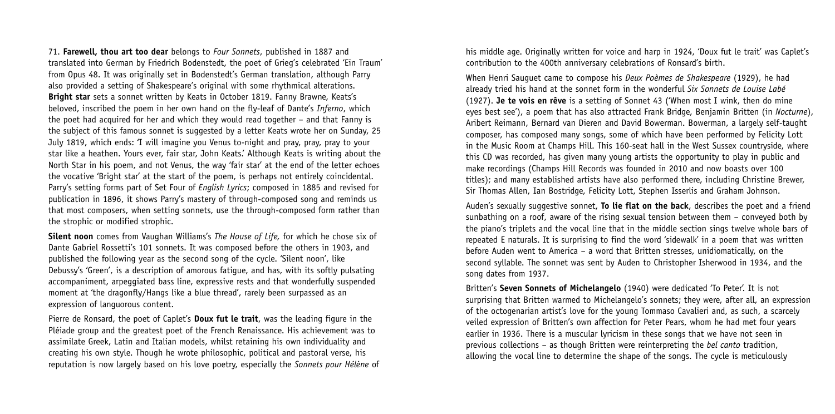71. **Farewell, thou art too dear** belongs to *Four Sonnets*, published in 1887 and translated into German by Friedrich Bodenstedt, the poet of Grieg's celebrated 'Ein Traum' from Opus 48. It was originally set in Bodenstedt's German translation, although Parry also provided a setting of Shakespeare's original with some rhythmical alterations. **Bright star** sets a sonnet written by Keats in October 1819. Fanny Brawne, Keats's beloved, inscribed the poem in her own hand on the fly-leaf of Dante's *Inferno*, which the poet had acquired for her and which they would read together – and that Fanny is the subject of this famous sonnet is suggested by a letter Keats wrote her on Sunday, 25 July 1819, which ends: 'I will imagine you Venus to-night and pray, pray, pray to your star like a heathen. Yours ever, fair star, John Keats.' Although Keats is writing about the North Star in his poem, and not Venus, the way 'fair star' at the end of the letter echoes the vocative 'Bright star' at the start of the poem, is perhaps not entirely coincidental. Parry's setting forms part of Set Four of *English Lyrics*; composed in 1885 and revised for publication in 1896, it shows Parry's mastery of through-composed song and reminds us that most composers, when setting sonnets, use the through-composed form rather than the strophic or modified strophic.

**Silent noon** comes from Vaughan Williams's *The House of Life,* for which he chose six of Dante Gabriel Rossetti's 101 sonnets. It was composed before the others in 1903, and published the following year as the second song of the cycle. 'Silent noon', like Debussy's 'Green', is a description of amorous fatigue, and has, with its softly pulsating accompaniment, arpeggiated bass line, expressive rests and that wonderfully suspended moment at 'the dragonfly/Hangs like a blue thread', rarely been surpassed as an expression of languorous content.

Pierre de Ronsard, the poet of Caplet's **Doux fut le trait**, was the leading figure in the Pléiade group and the greatest poet of the French Renaissance. His achievement was to assimilate Greek, Latin and Italian models, whilst retaining his own individuality and creating his own style. Though he wrote philosophic, political and pastoral verse, his reputation is now largely based on his love poetry, especially the *Sonnets pour Hélène* of his middle age. Originally written for voice and harp in 1924, 'Doux fut le trait' was Caplet's contribution to the 400th anniversary celebrations of Ronsard's birth.

When Henri Sauguet came to compose his *Deux Poèmes de Shakespeare* (1929), he had already tried his hand at the sonnet form in the wonderful *Six Sonnets de Louise Labé* (1927). **Je te vois en rêve** is a setting of Sonnet 43 ('When most I wink, then do mine eyes best see'), a poem that has also attracted Frank Bridge, Benjamin Britten (in *Nocturne*), Aribert Reimann, Bernard van Dieren and David Bowerman. Bowerman, a largely self-taught composer, has composed many songs, some of which have been performed by Felicity Lott in the Music Room at Champs Hill. This 160-seat hall in the West Sussex countryside, where this CD was recorded, has given many young artists the opportunity to play in public and make recordings (Champs Hill Records was founded in 2010 and now boasts over 100 titles); and many established artists have also performed there, including Christine Brewer, Sir Thomas Allen, Ian Bostridge, Felicity Lott, Stephen Isserlis and Graham Johnson.

Auden's sexually suggestive sonnet, **To lie flat on the back**, describes the poet and a friend sunbathing on a roof, aware of the rising sexual tension between them – conveyed both by the piano's triplets and the vocal line that in the middle section sings twelve whole bars of repeated E naturals. It is surprising to find the word 'sidewalk' in a poem that was written before Auden went to America – a word that Britten stresses, unidiomatically, on the second syllable. The sonnet was sent by Auden to Christopher Isherwood in 1934, and the song dates from 1937.

Britten's **Seven Sonnets of Michelangelo** (1940) were dedicated 'To Peter'. It is not surprising that Britten warmed to Michelangelo's sonnets; they were, after all, an expression of the octogenarian artist's love for the young Tommaso Cavalieri and, as such, a scarcely veiled expression of Britten's own affection for Peter Pears, whom he had met four years earlier in 1936. There is a muscular lyricism in these songs that we have not seen in previous collections – as though Britten were reinterpreting the *bel canto* tradition, allowing the vocal line to determine the shape of the songs. The cycle is meticulously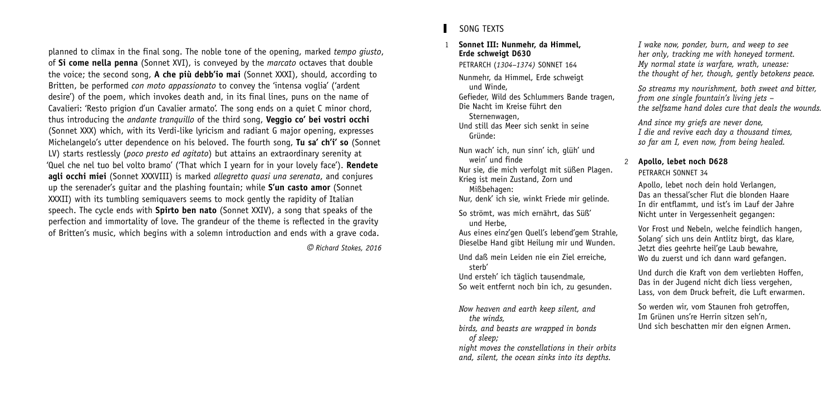planned to climax in the final song. The noble tone of the opening, marked *tempo giusto*, of **Si come nella penna** (Sonnet XVI), is conveyed by the *marcato* octaves that double the voice; the second song, **A che più debb'io mai** (Sonnet XXXI), should, according to Britten, be performed *con moto appassionato* to convey the 'intensa voglia' ('ardent desire') of the poem, which invokes death and, in its final lines, puns on the name of Cavalieri: 'Resto prigion d'un Cavalier armato'. The song ends on a quiet C minor chord, thus introducing the *andante tranquillo* of the third song, **Veggio co' bei vostri occhi** (Sonnet XXX) which, with its Verdi-like lyricism and radiant G major opening, expresses Michelangelo's utter dependence on his beloved. The fourth song, **Tu sa' ch'i' so** (Sonnet LV) starts restlessly (*poco presto ed agitato*) but attains an extraordinary serenity at 'Quel che nel tuo bel volto bramo' ('That which I yearn for in your lovely face'). **Rendete agli occhi miei** (Sonnet XXXVIII) is marked *allegretto quasi una serenata*, and conjures up the serenader's guitar and the plashing fountain; while **S'un casto amor** (Sonnet XXXII) with its tumbling semiquavers seems to mock gently the rapidity of Italian speech. The cycle ends with **Spirto ben nato** (Sonnet XXIV), a song that speaks of the perfection and immortality of love. The grandeur of the theme is reflected in the gravity of Britten's music, which begins with a solemn introduction and ends with a grave coda.

g *Richard Stokes, 2016*

# SONG TEXTS

### 1 **Sonnet III: Nunmehr, da Himmel, Erde schweigt D630**

PETRARCH (*1304–1374)* SONNET 164

Nunmehr, da Himmel, Erde schweigt und Winde,

Gefieder, Wild des Schlummers Bande tragen, Die Nacht im Kreise führt den

Sternenwagen,

Und still das Meer sich senkt in seine Gründe:

Nun wach' ich, nun sinn' ich, glüh' und wein' und finde

Nur sie, die mich verfolgt mit süßen Plagen. Krieg ist mein Zustand, Zorn und

Mißbehagen:

Nur, denk' ich sie, winkt Friede mir gelinde.

So strömt, was mich ernährt, das Süß' und Herbe,

Aus eines einz'gen Quell's lebend'gem Strahle, Dieselbe Hand gibt Heilung mir und Wunden.

Und daß mein Leiden nie ein Ziel erreiche, sterb'

Und ersteh' ich täglich tausendmale, So weit entfernt noch bin ich, zu gesunden.

*Now heaven and earth keep silent, and the winds, birds, and beasts are wrapped in bonds*

*of sleep;*

*night moves the constellations in their orbits and, silent, the ocean sinks into its depths.*

*I wake now, ponder, burn, and weep to see her only, tracking me with honeyed torment. My normal state is warfare, wrath, unease: the thought of her, though, gently betokens peace.*

*So streams my nourishment, both sweet and bitter, from one single fountain's living jets – the selfsame hand doles cure that deals the wounds.*

*And since my griefs are never done, I die and revive each day a thousand times, so far am I, even now, from being healed.*

#### 2 **Apollo, lebet noch D628** PETRARCH SONNET 34

Apollo, lebet noch dein hold Verlangen, Das an thessal'scher Flut die blonden Haare In dir entflammt, und ist's im Lauf der Jahre Nicht unter in Vergessenheit gegangen:

Vor Frost und Nebeln, welche feindlich hangen, Solang' sich uns dein Antlitz birgt, das klare, Jetzt dies geehrte heil'ge Laub bewahre, Wo du zuerst und ich dann ward gefangen.

Und durch die Kraft von dem verliebten Hoffen, Das in der Jugend nicht dich liess vergehen, Lass, von dem Druck befreit, die Luft erwarmen.

So werden wir, vom Staunen froh getroffen, Im Grünen uns're Herrin sitzen seh'n, Und sich beschatten mir den eignen Armen.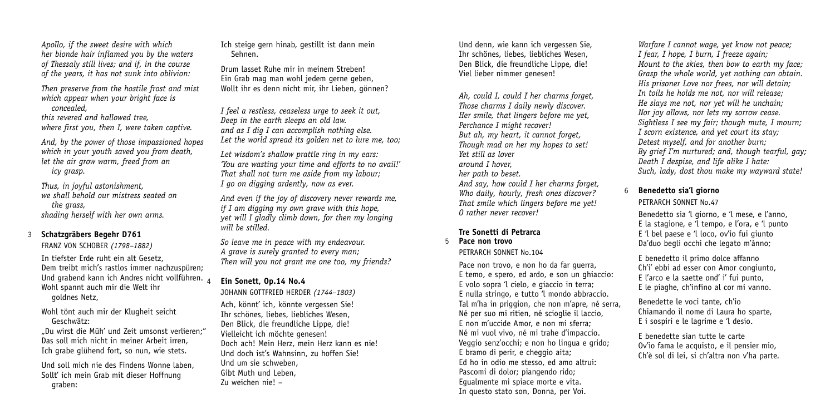*Apollo, if the sweet desire with which her blonde hair inflamed you by the waters of Thessaly still lives; and if, in the course of the years, it has not sunk into oblivion:*

*Then preserve from the hostile frost and mist which appear when your bright face is concealed,*

*this revered and hallowed tree, where first you, then I, were taken captive.*

*And, by the power of those impassioned hopes which in your youth saved you from death, let the air grow warm, freed from an icy grasp.*

*Thus, in joyful astonishment, we shall behold our mistress seated on the grass, shading herself with her own arms.*

# 3 **Schatzgräbers Begehr D761**

FRANZ VON SCHOBER *(1798–1882)* In tiefster Erde ruht ein alt Gesetz, Dem treibt mich's rastlos immer nachzuspüren; Und grabend kann ich Andres nicht vollführen. Wohl spannt auch mir die Welt ihr goldnes Netz,

Wohl tönt auch mir der Klugheit seicht Geschwätz:

"Du wirst die Müh' und Zeit umsonst verlieren;" Das soll mich nicht in meiner Arbeit irren, Ich grabe glühend fort, so nun, wie stets.

Und soll mich nie des Findens Wonne laben, Sollt' ich mein Grab mit dieser Hoffnung graben:

Ich steige gern hinab, gestillt ist dann mein Sehnen.

Drum lasset Ruhe mir in meinem Streben! Ein Grab mag man wohl jedem gerne geben, Wollt ihr es denn nicht mir, ihr Lieben, gönnen?

*I feel a restless, ceaseless urge to seek it out, Deep in the earth sleeps an old law. and as I dig I can accomplish nothing else. Let the world spread its golden net to lure me, too;*

*Let wisdom's shallow prattle ring in my ears: 'You are wasting your time and efforts to no avail!' That shall not turn me aside from my labour; I go on digging ardently, now as ever.*

*And even if the joy of discovery never rewards me, if I am digging my own grave with this hope, yet will I gladly climb down, for then my longing will be stilled.*

*So leave me in peace with my endeavour. A grave is surely granted to every man; Then will you not grant me one too, my friends?*

# 4 **Ein Sonett, Op.14 No.4**

JOHANN GOTTFRIED HERDER *(1744–1803)* Ach, könnt' ich, könnte vergessen Sie! Ihr schönes, liebes, liebliches Wesen, Den Blick, die freundliche Lippe, die! Vielleicht ich möchte genesen! Doch ach! Mein Herz, mein Herz kann es nie! Und doch ist's Wahnsinn, zu hoffen Sie! Und um sie schweben, Gibt Muth und Leben, Zu weichen nie! –

Und denn, wie kann ich vergessen Sie, Ihr schönes, liebes, liebliches Wesen, Den Blick, die freundliche Lippe, die! Viel lieber nimmer genesen!

*Ah, could I, could I her charms forget, Those charms I daily newly discover. Her smile, that lingers before me yet, Perchance I might recover! But ah, my heart, it cannot forget, Though mad on her my hopes to set! Yet still as lover around I hover, her path to beset. And say, how could I her charms forget, Who daily, hourly, fresh ones discover? That smile which lingers before me yet! O rather never recover!*

#### **Tre Sonetti di Petrarca** 5 **Pace non trovo**

# PETRARCH SONNET No. 104

Pace non trovo, e non ho da far guerra, E temo, e spero, ed ardo, e son un ghiaccio: E volo sopra 'l cielo, e giaccio in terra; E nulla stringo, e tutto 'l mondo abbraccio. Tal m'ha in priggion, che non m'apre, né serra, Né per suo mi ritien, né scioglie il laccio, E non m'uccide Amor, e non mi sferra; Né mi vuol vivo, né mi trahe d'impaccio. Veggio senz'occhi; e non ho lingua e grido; E bramo di perir, e cheggio aita; Ed ho in odio me stesso, ed amo altrui: Pascomi di dolor; piangendo rido; Egualmente mi spiace morte e vita. In questo stato son, Donna, per Voi.

*Warfare I cannot wage, yet know not peace; I fear, I hope, I burn, I freeze again; Mount to the skies, then bow to earth my face; Grasp the whole world, yet nothing can obtain. His prisoner Love nor frees, nor will detain; In toils he holds me not, nor will release; He slays me not, nor yet will he unchain; Nor joy allows, nor lets my sorrow cease. Sightless I see my fair; though mute, I mourn; I scorn existence, and yet court its stay; Detest myself, and for another burn; By grief I'm nurtured; and, though tearful, gay; Death I despise, and life alike I hate: Such, lady, dost thou make my wayward state!*

# 6 **Benedetto sia'l giorno**

PETRARCH SONNET No.47

Benedetto sia 'l giorno, e 'l mese, e l'anno, E la stagione, e 'l tempo, e l'ora, e 'l punto E 'l bel paese e 'l loco, ov'io fui giunto Da'duo begli occhi che legato m'ànno;

E benedetto il primo dolce affanno Ch'i' ebbi ad esser con Amor congiunto, E l'arco e la saette ond' i' fui punto, E le piaghe, ch'infino al cor mi vanno.

Benedette le voci tante, ch'io Chiamando il nome di Laura ho sparte, E i sospiri e le lagrime e 'l desio.

E benedette sian tutte le carte Ov'io fama le acquisto, e il pensier mio, Ch'è sol di lei, si ch'altra non v'ha parte.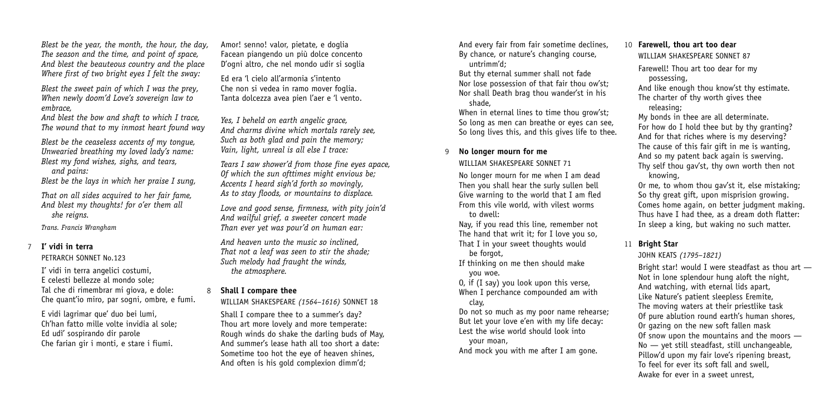*Blest be the year, the month, the hour, the day, The season and the time, and point of space, And blest the beauteous country and the place Where first of two bright eyes I felt the sway:*

*Blest the sweet pain of which I was the prey, When newly doom'd Love's sovereign law to embrace,*

*And blest the bow and shaft to which I trace, The wound that to my inmost heart found way*

*Blest be the ceaseless accents of my tongue, Unwearied breathing my loved lady's name: Blest my fond wishes, sighs, and tears,*

*and pains:*

*Blest be the lays in which her praise I sung,*

*That on all sides acquired to her fair fame, And blest my thoughts! for o'er them all she reigns.*

*Trans. Francis Wrangham*

# 7 **I' vidi in terra**

PETRARCH SONNET No. 123

I' vidi in terra angelici costumi, E celesti bellezze al mondo sole; Tal che di rimembrar mi giova, e dole: Che quant'io miro, par sogni, ombre, e fumi.

E vidi lagrimar que' duo bei lumi, Ch'han fatto mille volte invidia al sole; Ed udì' sospirando dir parole Che farian gir i monti, e stare i fiumi.

Amor! senno! valor, pietate, e doglia Facean piangendo un più dolce concento D'ogni altro, che nel mondo udir si soglia

Ed era 'l cielo all'armonia s'intento Che non si vedea in ramo mover foglia. Tanta dolcezza avea pien l'aer e 'l vento.

*Yes, I beheld on earth angelic grace, And charms divine which mortals rarely see, Such as both glad and pain the memory; Vain, light, unreal is all else I trace:*

*Tears I saw shower'd from those fine eyes apace, Of which the sun ofttimes might envious be; Accents I heard sigh'd forth so movingly, As to stay floods, or mountains to displace.*

*Love and good sense, firmness, with pity join'd And wailful grief, a sweeter concert made Than ever yet was pour'd on human ear:*

*And heaven unto the music so inclined, That not a leaf was seen to stir the shade; Such melody had fraught the winds, the atmosphere.*

# 8 **Shall I compare thee**

WILLIAM SHAKESPEARE *(1564–1616)* SONNET 18

Shall I compare thee to a summer's day? Thou art more lovely and more temperate: Rough winds do shake the darling buds of May, And summer's lease hath all too short a date: Sometime too hot the eye of heaven shines, And often is his gold complexion dimm'd;

And every fair from fair sometime declines, By chance, or nature's changing course, untrimm'd;

But thy eternal summer shall not fade Nor lose possession of that fair thou ow'st; Nor shall Death brag thou wander'st in his shade,

When in eternal lines to time thou grow'st: So long as men can breathe or eyes can see, So long lives this, and this gives life to thee.

# 9 **No longer mourn for me**

WILLIAM SHAKESPEARE SONNET 71

No longer mourn for me when I am dead Then you shall hear the surly sullen bell Give warning to the world that I am fled From this vile world, with vilest worms to dwell:

Nay, if you read this line, remember not The hand that writ it; for I love you so, That I in your sweet thoughts would be forgot.

If thinking on me then should make you woe.

O, if (I say) you look upon this verse,

When I perchance compounded am with clay,

Do not so much as my poor name rehearse; But let your love e'en with my life decay: Lest the wise world should look into your moan,

And mock you with me after I am gone.

#### 10 **Farewell, thou art too dear** WILLIAM SHAKESPEARE SONNET 87

Farewell! Thou art too dear for my possessing,

And like enough thou know'st thy estimate. The charter of thy worth gives thee releasing;

My bonds in thee are all determinate. For how do I hold thee but by thy granting? And for that riches where is my deserving? The cause of this fair gift in me is wanting, And so my patent back again is swerving. Thy self thou gav'st, thy own worth then not knowing,

Or me, to whom thou gav'st it, else mistaking: So thy great gift, upon misprision growing. Comes home again, on better judgment making. Thus have I had thee, as a dream doth flatter: In sleep a king, but waking no such matter.

# 11 **Bright Star**

### JOHN KEATS *(1795–1821)*

Bright star! would I were steadfast as thou art — Not in lone splendour hung aloft the night, And watching, with eternal lids apart, Like Nature's patient sleepless Eremite, The moving waters at their priestlike task Of pure ablution round earth's human shores, Or gazing on the new soft fallen mask Of snow upon the mountains and the moors — No — yet still steadfast, still unchangeable, Pillow'd upon my fair love's ripening breast, To feel for ever its soft fall and swell Awake for ever in a sweet unrest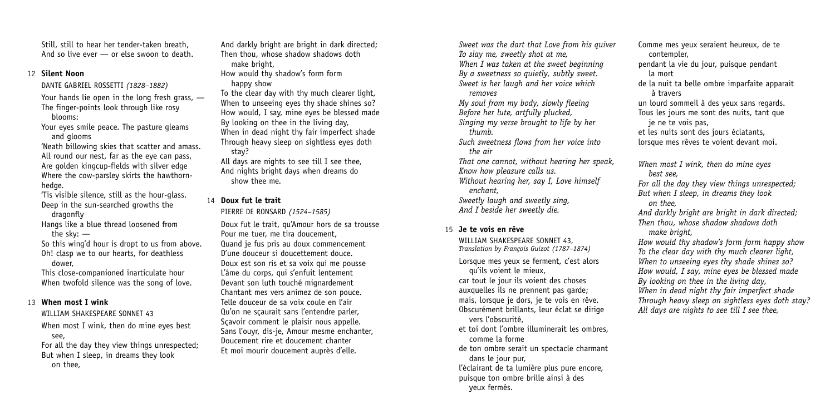Still, still to hear her tender-taken breath, And so live ever — or else swoon to death

#### 12 **Silent Noon**

DANTE GABRIEL ROSSETTI *(1828–1882)* Your hands lie open in the long fresh grass. -The finger-points look through like rosy blooms:

Your eyes smile peace. The pasture gleams and glooms

'Neath billowing skies that scatter and amass. All round our nest, far as the eye can pass. Are golden kingcup-fields with silver edge Where the cow-parsley skirts the hawthornhedge.

'Tis visible silence, still as the hour-glass. Deep in the sun-searched growths the dragonfly

Hangs like a blue thread loosened from the sky: —

So this wing'd hour is dropt to us from above. Oh! clasp we to our hearts, for deathless dower,

This close-companioned inarticulate hour When twofold silence was the song of love.

# 13 **When most I wink**

# WILLIAM SHAKESPEARE SONNET 43

When most I wink, then do mine eyes best see,

For all the day they view things unrespected; But when I sleep, in dreams they look on thee,

And darkly bright are bright in dark directed; Then thou, whose shadow shadows doth make bright, How would thy shadow's form form

happy show

To the clear day with thy much clearer light, When to unseeing eyes thy shade shines so? How would, I say, mine eyes be blessed made By looking on thee in the living day, When in dead night thy fair imperfect shade Through heavy sleep on sightless eyes doth stay?

All days are nights to see till I see thee, And nights bright days when dreams do show thee me.

# 14 **Doux fut le trait**

PIERRE DE RONSARD *(1524–1585)*

Doux fut le trait, qu'Amour hors de sa trousse Pour me tuer, me tira doucement, Quand je fus pris au doux commencement D'une douceur si doucettement douce. Doux est son ris et sa voix qui me pousse L'âme du corps, qui s'enfuit lentement Devant son luth touché mignardement Chantant mes vers animez de son pouce. Telle douceur de sa voix coule en l'air Qu'on ne sçaurait sans l'entendre parler, Sçavoir comment le plaisir nous appelle. Sans l'ouyr, dis-je, Amour mesme enchanter, Doucement rire et doucement chanter Et moi mourir doucement auprès d'elle.

*Sweet was the dart that Love from his quiver To slay me, sweetly shot at me, When I was taken at the sweet beginning By a sweetness so quietly, subtly sweet. Sweet is her laugh and her voice which removes My soul from my body, slowly fleeing Before her lute, artfully plucked, Singing my verse brought to life by her thumb. Such sweetness flows from her voice into the air That one cannot, without hearing her speak, Know how pleasure calls us. Without hearing her, say I, Love himself enchant, Sweetly laugh and sweetly sing, And I beside her sweetly die.*

# 15 **Je te vois en rêve**

WILLIAM SHAKESPEARE SONNET 43, *Translation by François Guizot (1787–1874)* Lorsque mes yeux se ferment, c'est alors qu'ils voient le mieux, car tout le jour ils voient des choses auxquelles ils ne prennent pas garde; mais, lorsque je dors, je te vois en rêve. Obscurément brillants, leur éclat se dirige vers l'obscurité, et toi dont l'ombre illuminerait les ombres, comme la forme

de ton ombre serait un spectacle charmant dans le jour pur,

l'éclairant de ta lumière plus pure encore, puisque ton ombre brille ainsi à des yeux fermés.

pendant la vie du jour, puisque pendant la mort de la nuit ta belle ombre imparfaite apparaît à travers un lourd sommeil à des yeux sans regards. Tous les jours me sont des nuits, tant que

Comme mes yeux seraient heureux, de te

je ne te vois pas,

contempler,

et les nuits sont des jours éclatants,

lorsque mes rêves te voient devant moi.

*When most I wink, then do mine eyes best see,*

*For all the day they view things unrespected; But when I sleep, in dreams they look on thee,*

*And darkly bright are bright in dark directed; Then thou, whose shadow shadows doth make bright,*

*How would thy shadow's form form happy show To the clear day with thy much clearer light, When to unseeing eyes thy shade shines so? How would, I say, mine eyes be blessed made By looking on thee in the living day, When in dead night thy fair imperfect shade Through heavy sleep on sightless eyes doth stay?* All days are nights to see till I see thee.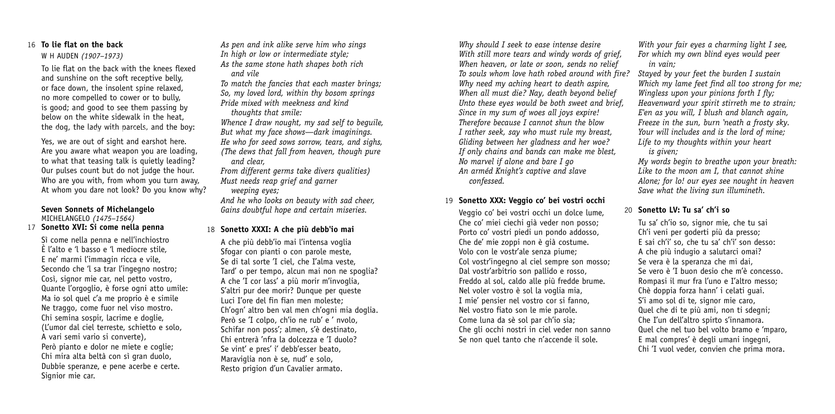# 16 **To lie flat on the back**

#### W H AUDEN *(1907–1973)*

To lie flat on the back with the knees flexed and sunshine on the soft receptive belly, or face down, the insolent spine relaxed, no more compelled to cower or to bully, is good; and good to see them passing by below on the white sidewalk in the heat, the dog, the lady with parcels, and the boy:

Yes, we are out of sight and earshot here. Are you aware what weapon you are loading, to what that teasing talk is quietly leading? Our pulses count but do not judge the hour. Who are you with, from whom you turn away, At whom you dare not look? Do you know why?

#### **Seven Sonnets of Michelangelo** MICHELANGELO *(1475–1564)* 17 **Sonetto XVI: Si come nella penna**

Sì come nella penna e nell'inchiostro È l'alto e 'l basso e 'l mediocre stile, E ne' marmi l'immagin ricca e vile, Secondo che 'l sa trar l'ingegno nostro: Così, signor mie car, nel petto vostro, Quante l'orgoglio, è forse ogni atto umile: Ma io sol quel c'a me proprio è e simile Ne traggo, come fuor nel viso mostro. Chi semina sospir, lacrime e doglie, (L'umor dal ciel terreste, schietto e solo, A vari semi vario si converte), Però pianto e dolor ne miete e coglie; Chi mira alta beltà con sì gran duolo, Dubbie speranze, e pene acerbe e certe. Signior mie car.

*As pen and ink alike serve him who sings In high or low or intermediate style; As the same stone hath shapes both rich and vile*

*To match the fancies that each master brings; So, my loved lord, within thy bosom springs Pride mixed with meekness and kind*

*thoughts that smile:*

*Whence I draw nought, my sad self to beguile, But what my face shows—dark imaginings. He who for seed sows sorrow, tears, and sighs, (The dews that fall from heaven, though pure and clear,*

*From different germs take divers qualities) Must needs reap grief and garner*

*weeping eyes;*

*And he who looks on beauty with sad cheer, Gains doubtful hope and certain miseries.*

# 18 **Sonetto XXXI: A che più debb'io mai**

A che più debb'io mai l'intensa voglia Sfogar con pianti o con parole meste. Se di tal sorte 'I ciel, che I'alma veste, Tard' o per tempo, alcun mai non ne spoglia? A che 'I cor lass' a più morir m'invoglia, S'altri pur dee morir? Dunque per queste Luci I'ore del fin fian men moleste; Ch'ogn' altro ben val men ch'ogni mia doglia. Però se 'I colpo, ch'io ne rub' e ' nvolo, Schifar non poss'; almen, s'è destinato, Chi entrerà 'nfra la dolcezza e 'I duolo? Se vint' e pres' i' debb'esser beato, Maraviglia non è se, nud' e solo, Resto prigion d'un Cavalier armato.

*Why should I seek to ease intense desire With still more tears and windy words of grief, When heaven, or late or soon, sends no relief To souls whom love hath robed around with fire? Why need my aching heart to death aspire, When all must die? Nay, death beyond belief Unto these eyes would be both sweet and brief, Since in my sum of woes all joys expire! Therefore because I cannot shun the blow I rather seek, say who must rule my breast, Gliding between her gladness and her woe? If only chains and bands can make me blest, No marvel if alone and bare I go An arméd Knight's captive and slave confessed.*

# 19 **Sonetto XXX: Veggio co' bei vostri occhi**

Veggio co' bei vostri occhi un dolce lume, Che co' miei ciechi già veder non posso; Porto co' vostri piedi un pondo addosso, Che de' mie zoppi non è già costume. Volo con le vostr'ale senza piume; Col vostr'ingegno al ciel sempre son mosso; Dal vostr'arbitrio son pallido e rosso, Freddo al sol, caldo alle più fredde brume. Nel voler vostro è sol la voglia mia, I mie' pensier nel vostro cor si fanno, Nel vostro fiato son le mie parole. Come luna da sè sol par ch'io sia; Che gli occhi nostri in ciel veder non sanno Se non quel tanto che n'accende il sole.

*With your fair eyes a charming light I see, For which my own blind eyes would peer in vain;*

*Stayed by your feet the burden I sustain Which my lame feet find all too strong for me; Wingless upon your pinions forth I fly; Heavenward your spirit stirreth me to strain; E'en as you will, I blush and blanch again, Freeze in the sun, burn 'neath a frosty sky. Your will includes and is the lord of mine; Life to my thoughts within your heart is given;*

*My words begin to breathe upon your breath: Like to the moon am I, that cannot shine Alone; for lo! our eyes see nought in heaven Save what the living sun illumineth.*

# 20 **Sonetto LV: Tu sa' ch'i so**

Tu sa' ch'io so, signor mie, che tu sai Ch'i veni per goderti più da presso; E sai ch'i' so, che tu sa' ch'i' son desso: A che più indugio a salutarci omai? Se vera è la speranza che mi dai, Se vero è 'I buon desio che m'è concesso. Rompasi il mur fra l'uno e I'altro messo; Chè doppia forza hann' i celati guai. S'i amo sol di te, signor mie caro, Quel che di te più ami, non ti sdegni; Che I'un dell'altro spirto s'innamora. Quel che nel tuo bel volto bramo e 'mparo, E mal compres' è degli umani ingegni, Chi 'I vuol veder, convien che prima mora.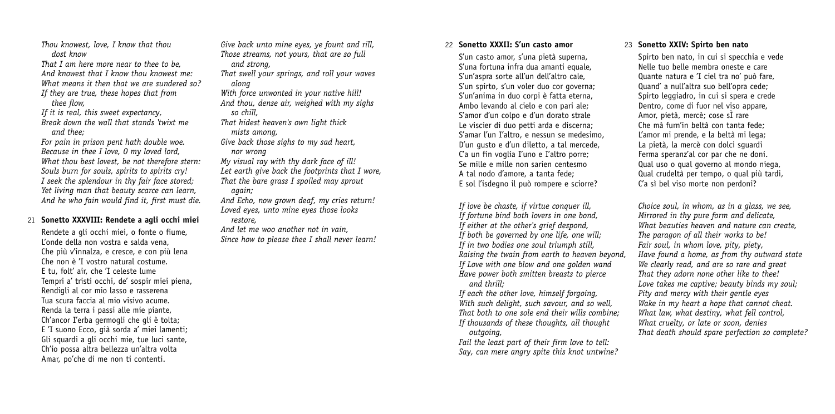*Thou knowest, love, I know that thou dost know*

*That I am here more near to thee to be, And knowest that I know thou knowest me: What means it then that we are sundered so? If they are true, these hopes that from*

*thee flow,*

*If it is real, this sweet expectancy,*

*Break down the wall that stands 'twixt me and thee;*

*For pain in prison pent hath double woe. Because in thee I love, O my loved lord, What thou best lovest, be not therefore stern: Souls burn for souls, spirits to spirits cry! I seek the splendour in thy fair face stored; Yet living man that beauty scarce can learn, And he who fain would find it, first must die.*

# 21 **Sonetto XXXVIII: Rendete a agli occhi miei**

Rendete a gli occhi miei, o fonte o fiume, L'onde della non vostra e salda vena, Che più v'innalza, e cresce, e con più lena Che non è 'I vostro natural costume. E tu, folt' air, che 'I celeste lume Tempri a' tristi occhi, de' sospir miei piena, Rendigli al cor mio lasso e rasserena Tua scura faccia al mio visivo acume. Renda la terra i passi alle mie piante, Ch'ancor I'erba germogli che gli è tolta; E 'I suono Ecco, già sorda a' miei lamenti; Gli squardi a gli occhi mie, tue luci sante, Ch'io possa altra bellezza un'altra volta Amar, po'che di me non ti contenti.

*Give back unto mine eyes, ye fount and rill, Those streams, not yours, that are so full and strong,*

*That swell your springs, and roll your waves along*

*With force unwonted in your native hill! And thou, dense air, weighed with my sighs so chill,*

*That hidest heaven's own light thick mists among,*

*Give back those sighs to my sad heart, nor wrong*

*My visual ray with thy dark face of ill! Let earth give back the footprints that I wore, That the bare grass I spoiled may sprout*

*again;*

*And Echo, now grown deaf, my cries return! Loved eyes, unto mine eyes those looks restore,*

*And let me woo another not in vain, Since how to please thee I shall never learn!*

# 22 **Sonetto XXXII: S'un casto amor**

S'un casto amor, s'una pietà superna, S'una fortuna infra dua amanti equale, S'un'aspra sorte all'un dell'altro cale, S'un spirto, s'un voler duo cor governa; S'un'anima in duo corpi è fatta eterna, Ambo levando al cielo e con pari ale; S'amor d'un colpo e d'un dorato strale Le viscier di duo petti arda e discerna; S'amar l'un I'altro, e nessun se medesimo, D'un gusto e d'un diletto, a tal mercede, C'a un fin voglia I'uno e I'altro porre; Se mille e mille non sarien centesmo A tal nodo d'amore, a tanta fede; E sol l'isdegno il può rompere e sciorre?

*If love be chaste, if virtue conquer ill, If fortune bind both lovers in one bond, If either at the other's grief despond, If both be governed by one life, one will; If in two bodies one soul triumph still, Raising the twain from earth to heaven beyond, If Love with one blow and one golden wand Have power both smitten breasts to pierce and thrill;*

*If each the other love, himself forgoing, With such delight, such savour, and so well, That both to one sole end their wills combine; If thousands of these thoughts, all thought outgoing,*

*Fail the least part of their firm love to tell: Say, can mere angry spite this knot untwine?*

#### 23 **Sonetto XXIV: Spirto ben nato**

Spirto ben nato, in cui si specchia e vede Nelle tuo belle membra oneste e care Quante natura e 'I ciel tra no' può fare, Quand' a null'altra suo bell'opra cede; Spirto leggiadro, in cui si spera e crede Dentro, come di fuor nel viso annare. Amor, pietà, mercè; cose sÌ rare Che mà furn'in beltà con tanta fede; L'amor mi prende, e la beltà mi lega; La pietà, la mercè con dolci sguardi Ferma speranz'al cor par che ne doni. Qual uso o qual governo al mondo niega, Qual crudeltà per tempo, o qual più tardi, C'a sì bel viso morte non perdoni?

*Choice soul, in whom, as in a glass, we see, Mirrored in thy pure form and delicate, What beauties heaven and nature can create, The paragon of all their works to be! Fair soul, in whom love, pity, piety, Have found a home, as from thy outward state We clearly read, and are so rare and great That they adorn none other like to thee! Love takes me captive; beauty binds my soul; Pity and mercy with their gentle eyes Wake in my heart a hope that cannot cheat. What law, what destiny, what fell control, What cruelty, or late or soon, denies That death should spare perfection so complete?*